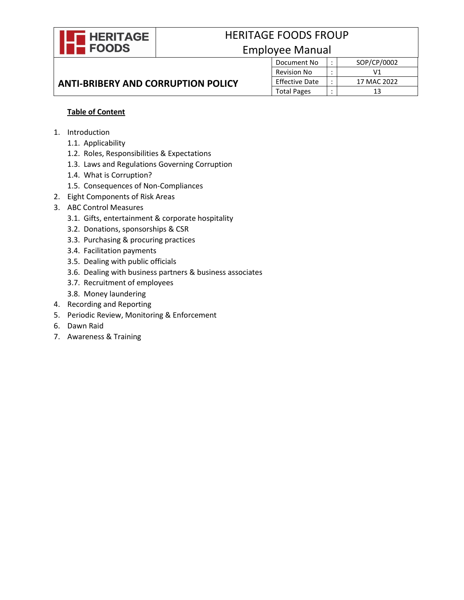

# HERITAGE FOODS FROUP Employee Manual

# **ANTI-BRIBERY AND CORRUPTION POLICY**

| yee ividiiudi         |  |             |
|-----------------------|--|-------------|
| Document No           |  | SOP/CP/0002 |
| <b>Revision No</b>    |  | ۷1          |
| <b>Effective Date</b> |  | 17 MAC 2022 |
| <b>Total Pages</b>    |  | 13          |

# **Table of Content**

- 1. Introduction
	- 1.1. Applicability
	- 1.2. Roles, Responsibilities & Expectations
	- 1.3. Laws and Regulations Governing Corruption
	- 1.4. What is Corruption?
	- 1.5. Consequences of Non-Compliances
- 2. Eight Components of Risk Areas
- 3. ABC Control Measures
	- 3.1. Gifts, entertainment & corporate hospitality
	- 3.2. Donations, sponsorships & CSR
	- 3.3. Purchasing & procuring practices
	- 3.4. Facilitation payments
	- 3.5. Dealing with public officials
	- 3.6. Dealing with business partners & business associates
	- 3.7. Recruitment of employees
	- 3.8. Money laundering
- 4. Recording and Reporting
- 5. Periodic Review, Monitoring & Enforcement
- 6. Dawn Raid
- 7. Awareness & Training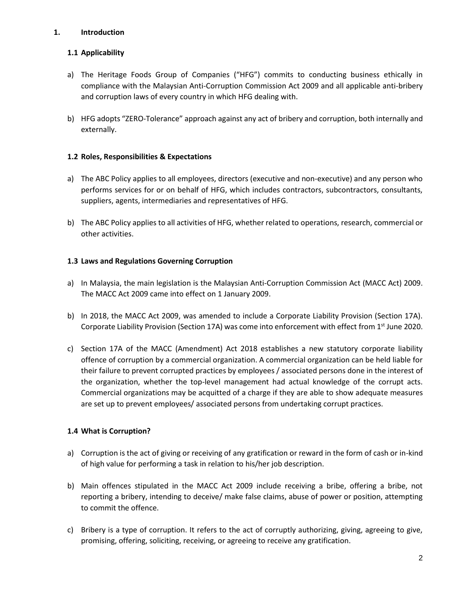## **1. Introduction**

# **1.1 Applicability**

- a) The Heritage Foods Group of Companies ("HFG") commits to conducting business ethically in compliance with the Malaysian Anti-Corruption Commission Act 2009 and all applicable anti-bribery and corruption laws of every country in which HFG dealing with.
- b) HFG adopts "ZERO-Tolerance" approach against any act of bribery and corruption, both internally and externally.

# **1.2 Roles, Responsibilities & Expectations**

- a) The ABC Policy applies to all employees, directors (executive and non-executive) and any person who performs services for or on behalf of HFG, which includes contractors, subcontractors, consultants, suppliers, agents, intermediaries and representatives of HFG.
- b) The ABC Policy applies to all activities of HFG, whether related to operations, research, commercial or other activities.

# **1.3 Laws and Regulations Governing Corruption**

- a) In Malaysia, the main legislation is the Malaysian Anti-Corruption Commission Act (MACC Act) 2009. The MACC Act 2009 came into effect on 1 January 2009.
- b) In 2018, the MACC Act 2009, was amended to include a Corporate Liability Provision (Section 17A). Corporate Liability Provision (Section 17A) was come into enforcement with effect from 1<sup>st</sup> June 2020.
- c) Section 17A of the MACC (Amendment) Act 2018 establishes a new statutory corporate liability offence of corruption by a commercial organization. A commercial organization can be held liable for their failure to prevent corrupted practices by employees / associated persons done in the interest of the organization, whether the top-level management had actual knowledge of the corrupt acts. Commercial organizations may be acquitted of a charge if they are able to show adequate measures are set up to prevent employees/ associated persons from undertaking corrupt practices.

# **1.4 What is Corruption?**

- a) Corruption is the act of giving or receiving of any gratification or reward in the form of cash or in-kind of high value for performing a task in relation to his/her job description.
- b) Main offences stipulated in the MACC Act 2009 include receiving a bribe, offering a bribe, not reporting a bribery, intending to deceive/ make false claims, abuse of power or position, attempting to commit the offence.
- c) Bribery is a type of corruption. It refers to the act of corruptly authorizing, giving, agreeing to give, promising, offering, soliciting, receiving, or agreeing to receive any gratification.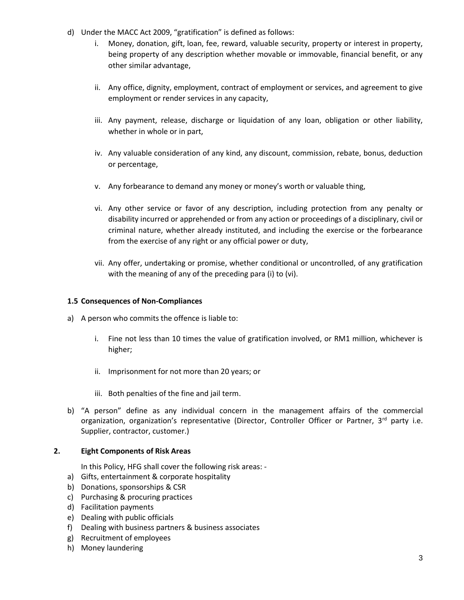- d) Under the MACC Act 2009, "gratification" is defined as follows:
	- i. Money, donation, gift, loan, fee, reward, valuable security, property or interest in property, being property of any description whether movable or immovable, financial benefit, or any other similar advantage,
	- ii. Any office, dignity, employment, contract of employment or services, and agreement to give employment or render services in any capacity,
	- iii. Any payment, release, discharge or liquidation of any loan, obligation or other liability, whether in whole or in part,
	- iv. Any valuable consideration of any kind, any discount, commission, rebate, bonus, deduction or percentage,
	- v. Any forbearance to demand any money or money's worth or valuable thing,
	- vi. Any other service or favor of any description, including protection from any penalty or disability incurred or apprehended or from any action or proceedings of a disciplinary, civil or criminal nature, whether already instituted, and including the exercise or the forbearance from the exercise of any right or any official power or duty,
	- vii. Any offer, undertaking or promise, whether conditional or uncontrolled, of any gratification with the meaning of any of the preceding para (i) to (vi).

#### **1.5 Consequences of Non-Compliances**

- a) A person who commits the offence is liable to:
	- i. Fine not less than 10 times the value of gratification involved, or RM1 million, whichever is higher;
	- ii. Imprisonment for not more than 20 years; or
	- iii. Both penalties of the fine and jail term.
- b) "A person" define as any individual concern in the management affairs of the commercial organization, organization's representative (Director, Controller Officer or Partner, 3rd party i.e. Supplier, contractor, customer.)

#### **2. Eight Components of Risk Areas**

In this Policy, HFG shall cover the following risk areas: -

- a) Gifts, entertainment & corporate hospitality
- b) Donations, sponsorships & CSR
- c) Purchasing & procuring practices
- d) Facilitation payments
- e) Dealing with public officials
- f) Dealing with business partners & business associates
- g) Recruitment of employees
- h) Money laundering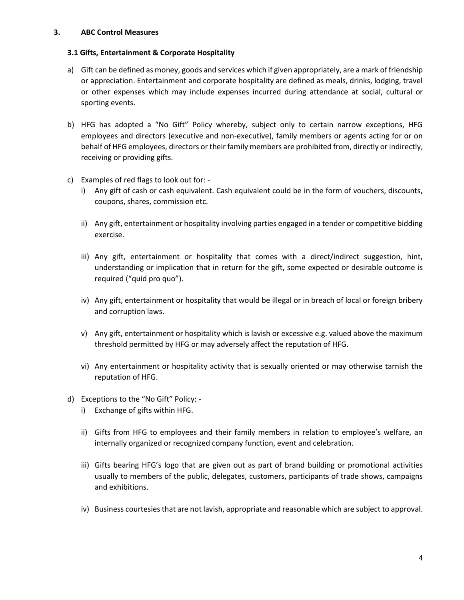#### **3. ABC Control Measures**

#### **3.1 Gifts, Entertainment & Corporate Hospitality**

- a) Gift can be defined as money, goods and services which if given appropriately, are a mark of friendship or appreciation. Entertainment and corporate hospitality are defined as meals, drinks, lodging, travel or other expenses which may include expenses incurred during attendance at social, cultural or sporting events.
- b) HFG has adopted a "No Gift" Policy whereby, subject only to certain narrow exceptions, HFG employees and directors (executive and non-executive), family members or agents acting for or on behalf of HFG employees, directors or their family members are prohibited from, directly or indirectly, receiving or providing gifts.
- c) Examples of red flags to look out for:
	- i) Any gift of cash or cash equivalent. Cash equivalent could be in the form of vouchers, discounts, coupons, shares, commission etc.
	- ii) Any gift, entertainment or hospitality involving parties engaged in a tender or competitive bidding exercise.
	- iii) Any gift, entertainment or hospitality that comes with a direct/indirect suggestion, hint, understanding or implication that in return for the gift, some expected or desirable outcome is required ("quid pro quo").
	- iv) Any gift, entertainment or hospitality that would be illegal or in breach of local or foreign bribery and corruption laws.
	- v) Any gift, entertainment or hospitality which is lavish or excessive e.g. valued above the maximum threshold permitted by HFG or may adversely affect the reputation of HFG.
	- vi) Any entertainment or hospitality activity that is sexually oriented or may otherwise tarnish the reputation of HFG.
- d) Exceptions to the "No Gift" Policy:
	- i) Exchange of gifts within HFG.
	- ii) Gifts from HFG to employees and their family members in relation to employee's welfare, an internally organized or recognized company function, event and celebration.
	- iii) Gifts bearing HFG's logo that are given out as part of brand building or promotional activities usually to members of the public, delegates, customers, participants of trade shows, campaigns and exhibitions.
	- iv) Business courtesies that are not lavish, appropriate and reasonable which are subject to approval.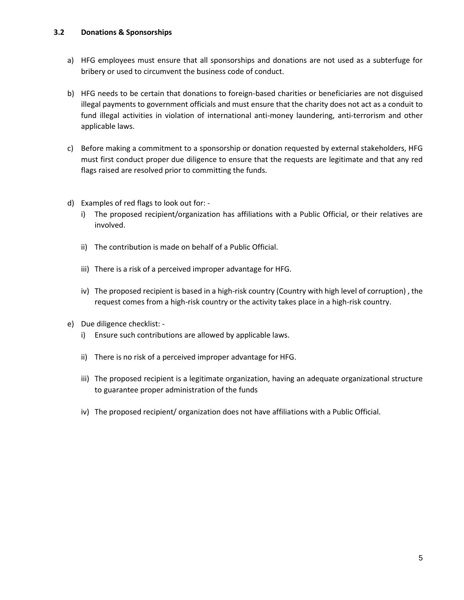- a) HFG employees must ensure that all sponsorships and donations are not used as a subterfuge for bribery or used to circumvent the business code of conduct.
- b) HFG needs to be certain that donations to foreign-based charities or beneficiaries are not disguised illegal payments to government officials and must ensure that the charity does not act as a conduit to fund illegal activities in violation of international anti-money laundering, anti-terrorism and other applicable laws.
- c) Before making a commitment to a sponsorship or donation requested by external stakeholders, HFG must first conduct proper due diligence to ensure that the requests are legitimate and that any red flags raised are resolved prior to committing the funds.
- d) Examples of red flags to look out for:
	- i) The proposed recipient/organization has affiliations with a Public Official, or their relatives are involved.
	- ii) The contribution is made on behalf of a Public Official.
	- iii) There is a risk of a perceived improper advantage for HFG.
	- iv) The proposed recipient is based in a high-risk country (Country with high level of corruption) , the request comes from a high-risk country or the activity takes place in a high-risk country.
- e) Due diligence checklist:
	- i) Ensure such contributions are allowed by applicable laws.
	- ii) There is no risk of a perceived improper advantage for HFG.
	- iii) The proposed recipient is a legitimate organization, having an adequate organizational structure to guarantee proper administration of the funds
	- iv) The proposed recipient/ organization does not have affiliations with a Public Official.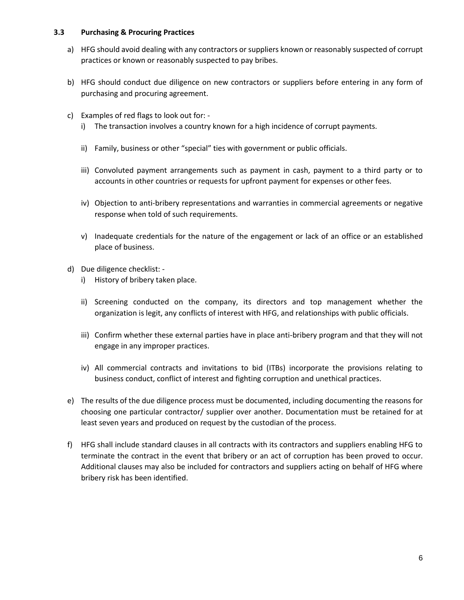#### **3.3 Purchasing & Procuring Practices**

- a) HFG should avoid dealing with any contractors or suppliers known or reasonably suspected of corrupt practices or known or reasonably suspected to pay bribes.
- b) HFG should conduct due diligence on new contractors or suppliers before entering in any form of purchasing and procuring agreement.
- c) Examples of red flags to look out for:
	- i) The transaction involves a country known for a high incidence of corrupt payments.
	- ii) Family, business or other "special" ties with government or public officials.
	- iii) Convoluted payment arrangements such as payment in cash, payment to a third party or to accounts in other countries or requests for upfront payment for expenses or other fees.
	- iv) Objection to anti-bribery representations and warranties in commercial agreements or negative response when told of such requirements.
	- v) Inadequate credentials for the nature of the engagement or lack of an office or an established place of business.
- d) Due diligence checklist:
	- i) History of bribery taken place.
	- ii) Screening conducted on the company, its directors and top management whether the organization is legit, any conflicts of interest with HFG, and relationships with public officials.
	- iii) Confirm whether these external parties have in place anti-bribery program and that they will not engage in any improper practices.
	- iv) All commercial contracts and invitations to bid (ITBs) incorporate the provisions relating to business conduct, conflict of interest and fighting corruption and unethical practices.
- e) The results of the due diligence process must be documented, including documenting the reasons for choosing one particular contractor/ supplier over another. Documentation must be retained for at least seven years and produced on request by the custodian of the process.
- f) HFG shall include standard clauses in all contracts with its contractors and suppliers enabling HFG to terminate the contract in the event that bribery or an act of corruption has been proved to occur. Additional clauses may also be included for contractors and suppliers acting on behalf of HFG where bribery risk has been identified.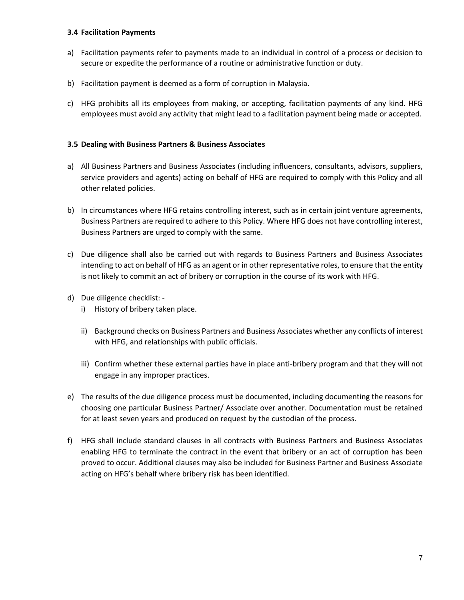#### **3.4 Facilitation Payments**

- a) Facilitation payments refer to payments made to an individual in control of a process or decision to secure or expedite the performance of a routine or administrative function or duty.
- b) Facilitation payment is deemed as a form of corruption in Malaysia.
- c) HFG prohibits all its employees from making, or accepting, facilitation payments of any kind. HFG employees must avoid any activity that might lead to a facilitation payment being made or accepted.

#### **3.5 Dealing with Business Partners & Business Associates**

- a) All Business Partners and Business Associates (including influencers, consultants, advisors, suppliers, service providers and agents) acting on behalf of HFG are required to comply with this Policy and all other related policies.
- b) In circumstances where HFG retains controlling interest, such as in certain joint venture agreements, Business Partners are required to adhere to this Policy. Where HFG does not have controlling interest, Business Partners are urged to comply with the same.
- c) Due diligence shall also be carried out with regards to Business Partners and Business Associates intending to act on behalf of HFG as an agent or in other representative roles, to ensure that the entity is not likely to commit an act of bribery or corruption in the course of its work with HFG.
- d) Due diligence checklist:
	- i) History of bribery taken place.
	- ii) Background checks on Business Partners and Business Associates whether any conflicts of interest with HFG, and relationships with public officials.
	- iii) Confirm whether these external parties have in place anti-bribery program and that they will not engage in any improper practices.
- e) The results of the due diligence process must be documented, including documenting the reasons for choosing one particular Business Partner/ Associate over another. Documentation must be retained for at least seven years and produced on request by the custodian of the process.
- f) HFG shall include standard clauses in all contracts with Business Partners and Business Associates enabling HFG to terminate the contract in the event that bribery or an act of corruption has been proved to occur. Additional clauses may also be included for Business Partner and Business Associate acting on HFG's behalf where bribery risk has been identified.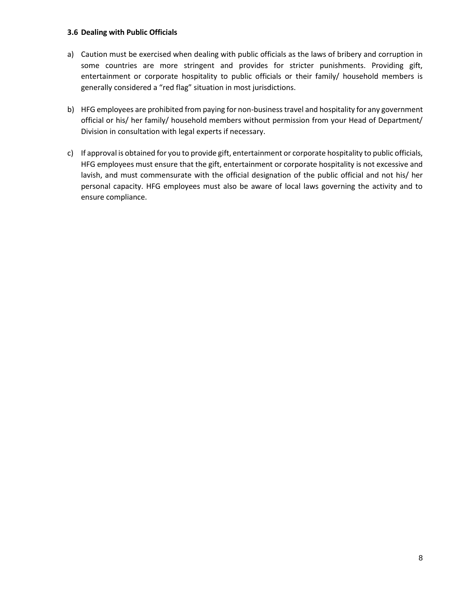#### **3.6 Dealing with Public Officials**

- a) Caution must be exercised when dealing with public officials as the laws of bribery and corruption in some countries are more stringent and provides for stricter punishments. Providing gift, entertainment or corporate hospitality to public officials or their family/ household members is generally considered a "red flag" situation in most jurisdictions.
- b) HFG employees are prohibited from paying for non-business travel and hospitality for any government official or his/ her family/ household members without permission from your Head of Department/ Division in consultation with legal experts if necessary.
- c) If approval is obtained for you to provide gift, entertainment or corporate hospitality to public officials, HFG employees must ensure that the gift, entertainment or corporate hospitality is not excessive and lavish, and must commensurate with the official designation of the public official and not his/ her personal capacity. HFG employees must also be aware of local laws governing the activity and to ensure compliance.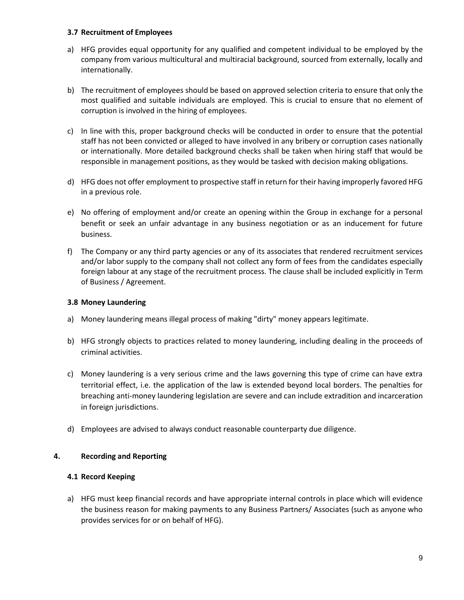#### **3.7 Recruitment of Employees**

- a) HFG provides equal opportunity for any qualified and competent individual to be employed by the company from various multicultural and multiracial background, sourced from externally, locally and internationally.
- b) The recruitment of employees should be based on approved selection criteria to ensure that only the most qualified and suitable individuals are employed. This is crucial to ensure that no element of corruption is involved in the hiring of employees.
- c) In line with this, proper background checks will be conducted in order to ensure that the potential staff has not been convicted or alleged to have involved in any bribery or corruption cases nationally or internationally. More detailed background checks shall be taken when hiring staff that would be responsible in management positions, as they would be tasked with decision making obligations.
- d) HFG does not offer employment to prospective staff in return for their having improperly favored HFG in a previous role.
- e) No offering of employment and/or create an opening within the Group in exchange for a personal benefit or seek an unfair advantage in any business negotiation or as an inducement for future business.
- f) The Company or any third party agencies or any of its associates that rendered recruitment services and/or labor supply to the company shall not collect any form of fees from the candidates especially foreign labour at any stage of the recruitment process. The clause shall be included explicitly in Term of Business / Agreement.

#### **3.8 Money Laundering**

- a) Money laundering means illegal process of making "dirty" money appears legitimate.
- b) HFG strongly objects to practices related to money laundering, including dealing in the proceeds of criminal activities.
- c) Money laundering is a very serious crime and the laws governing this type of crime can have extra territorial effect, i.e. the application of the law is extended beyond local borders. The penalties for breaching anti-money laundering legislation are severe and can include extradition and incarceration in foreign jurisdictions.
- d) Employees are advised to always conduct reasonable counterparty due diligence.

#### **4. Recording and Reporting**

#### **4.1 Record Keeping**

a) HFG must keep financial records and have appropriate internal controls in place which will evidence the business reason for making payments to any Business Partners/ Associates (such as anyone who provides services for or on behalf of HFG).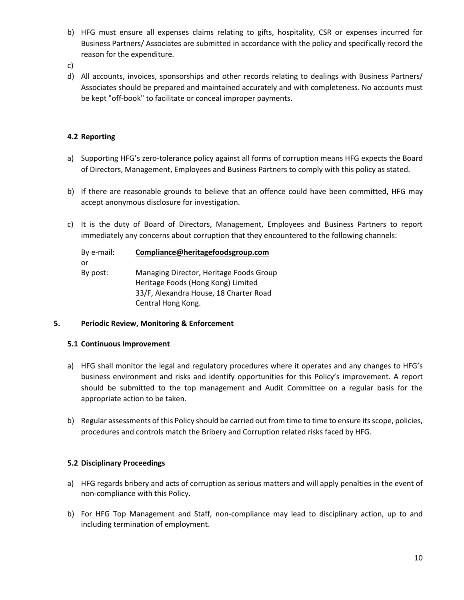- b) HFG must ensure all expenses claims relating to gifts, hospitality, CSR or expenses incurred for Business Partners/ Associates are submitted in accordance with the policy and specifically record the reason for the expenditure.
- c)
- d) All accounts, invoices, sponsorships and other records relating to dealings with Business Partners/ Associates should be prepared and maintained accurately and with completeness. No accounts must be kept "off-book" to facilitate or conceal improper payments.

# **4.2 Reporting**

- a) Supporting HFG's zero-tolerance policy against all forms of corruption means HFG expects the Board of Directors, Management, Employees and Business Partners to comply with this policy as stated.
- b) If there are reasonable grounds to believe that an offence could have been committed, HFG may accept anonymous disclosure for investigation.
- c) It is the duty of Board of Directors, Management, Employees and Business Partners to report immediately any concerns about corruption that they encountered to the following channels:

| By e-mail: | Compliance@heritagefoodsgroup.com                                                                                                             |
|------------|-----------------------------------------------------------------------------------------------------------------------------------------------|
| or         |                                                                                                                                               |
| By post:   | Managing Director, Heritage Foods Group<br>Heritage Foods (Hong Kong) Limited<br>33/F, Alexandra House, 18 Charter Road<br>Central Hong Kong. |

#### **5. Periodic Review, Monitoring & Enforcement**

#### **5.1 Continuous Improvement**

- a) HFG shall monitor the legal and regulatory procedures where it operates and any changes to HFG's business environment and risks and identify opportunities for this Policy's improvement. A report should be submitted to the top management and Audit Committee on a regular basis for the appropriate action to be taken.
- b) Regular assessments of this Policy should be carried out from time to time to ensure its scope, policies, procedures and controls match the Bribery and Corruption related risks faced by HFG.

#### **5.2 Disciplinary Proceedings**

- a) HFG regards bribery and acts of corruption as serious matters and will apply penalties in the event of non-compliance with this Policy.
- b) For HFG Top Management and Staff, non-compliance may lead to disciplinary action, up to and including termination of employment.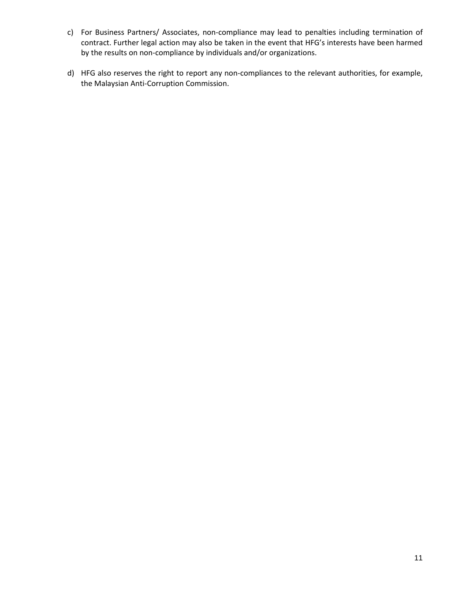- c) For Business Partners/ Associates, non-compliance may lead to penalties including termination of contract. Further legal action may also be taken in the event that HFG's interests have been harmed by the results on non-compliance by individuals and/or organizations.
- d) HFG also reserves the right to report any non-compliances to the relevant authorities, for example, the Malaysian Anti-Corruption Commission.